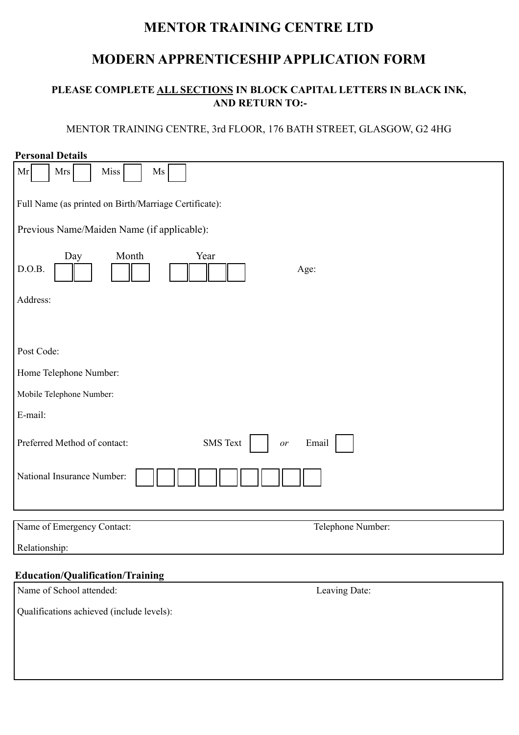# **MENTOR TRAINING CENTRE LTD**

# **MODERN APPRENTICESHIP APPLICATION FORM**

# **PLEASE COMPLETE ALL SECTIONS IN BLOCK CAPITAL LETTERS IN BLACK INK, AND RETURN TO:-**

# MENTOR TRAINING CENTRE, 3rd FLOOR, 176 BATH STREET, GLASGOW, G2 4HG

| <b>Personal Details</b>                                        |
|----------------------------------------------------------------|
| Mrs<br>Miss<br>Ms<br>Mr                                        |
| Full Name (as printed on Birth/Marriage Certificate):          |
| Previous Name/Maiden Name (if applicable):                     |
| Month<br>Year<br>Day<br>D.O.B.<br>Age:                         |
| Address:                                                       |
|                                                                |
| Post Code:                                                     |
| Home Telephone Number:                                         |
| Mobile Telephone Number:                                       |
| E-mail:                                                        |
| <b>SMS</b> Text<br>Preferred Method of contact:<br>Email<br>or |
| National Insurance Number:                                     |
| Name of Emergency Contact:<br>Telephone Number:                |
| Relationship:                                                  |
| <b>Education/Qualification/Training</b>                        |
| Name of School attended:<br>Leaving Date:                      |
| Qualifications achieved (include levels):                      |
|                                                                |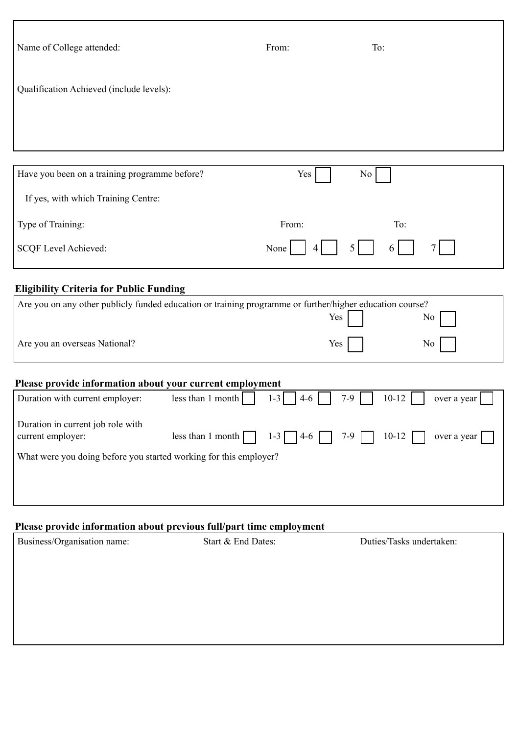| Name of College attended:                                                                                | From:                                          | To:                                      |
|----------------------------------------------------------------------------------------------------------|------------------------------------------------|------------------------------------------|
| Qualification Achieved (include levels):                                                                 |                                                |                                          |
|                                                                                                          |                                                |                                          |
|                                                                                                          |                                                |                                          |
| Have you been on a training programme before?                                                            | Yes                                            | No                                       |
| If yes, with which Training Centre:                                                                      |                                                |                                          |
| Type of Training:                                                                                        | From:                                          | To:                                      |
| <b>SCQF Level Achieved:</b>                                                                              | None<br>4                                      | 5.<br>6                                  |
| <b>Eligibility Criteria for Public Funding</b>                                                           |                                                |                                          |
| Are you on any other publicly funded education or training programme or further/higher education course? |                                                | Yes<br>N <sub>0</sub>                    |
| Are you an overseas National?                                                                            |                                                | Yes<br>No                                |
| Please provide information about your current employment                                                 |                                                |                                          |
| Duration with current employer:                                                                          | less than 1 month<br>$1 - 3$<br>$4-6$          | $7-9$<br>$10 - 12$<br>over a year        |
| Duration in current job role with<br>current employer:                                                   | less than 1 month $\Box$<br>$1 - 3$  <br>$4-6$ | $7-9$ $\Box$<br>$10 - 12$<br>over a year |
| What were you doing before you started working for this employer?                                        |                                                |                                          |
|                                                                                                          |                                                |                                          |
|                                                                                                          |                                                |                                          |
| Please provide information about previous full/part time employment                                      |                                                |                                          |

| Business/Organisation name: | Start & End Dates: | Duties/Tasks undertaken: |
|-----------------------------|--------------------|--------------------------|
|                             |                    |                          |
|                             |                    |                          |
|                             |                    |                          |
|                             |                    |                          |
|                             |                    |                          |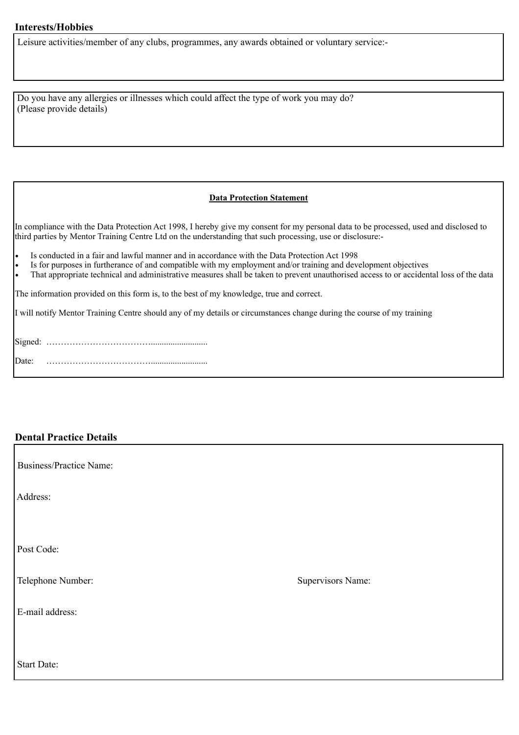#### **Interests/Hobbies**

Leisure activities/member of any clubs, programmes, any awards obtained or voluntary service:-

 Do you have any allergies or illnesses which could affect the type of work you may do? (Please provide details)

#### **Data Protection Statement**

In compliance with the Data Protection Act 1998, I hereby give my consent for my personal data to be processed, used and disclosed to third parties by Mentor Training Centre Ltd on the understanding that such processing, use or disclosure:-

! Is conducted in a fair and lawful manner and in accordance with the Data Protection Act 1998

! Is for purposes in furtherance of and compatible with my employment and/or training and development objectives

! That appropriate technical and administrative measures shall be taken to prevent unauthorised access to or accidental loss of the data

The information provided on this form is, to the best of my knowledge, true and correct.

I will notify Mentor Training Centre should any of my details or circumstances change during the course of my training

#### **Dental Practice Details**

| <b>Business/Practice Name:</b> |                   |
|--------------------------------|-------------------|
| Address:                       |                   |
|                                |                   |
| Post Code:                     |                   |
| Telephone Number:              | Supervisors Name: |
| E-mail address:                |                   |
|                                |                   |
| Start Date:                    |                   |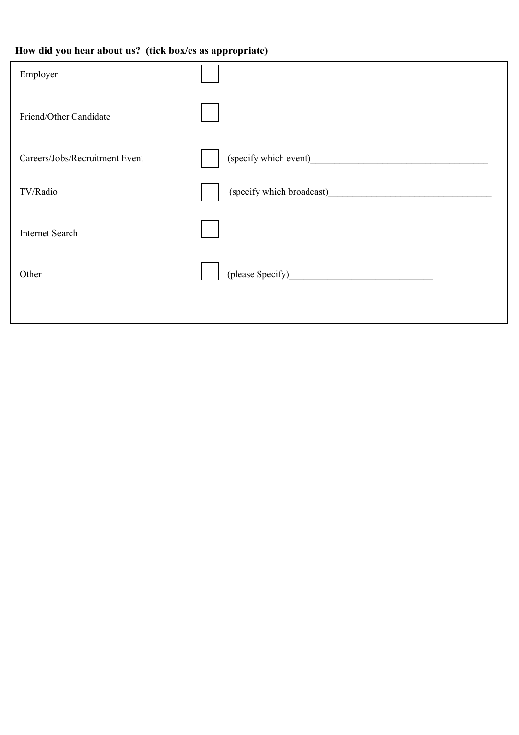# **How did you hear about us? (tick box/es as appropriate)**

| Employer                       |                                                                                                                                                                                                                                     |
|--------------------------------|-------------------------------------------------------------------------------------------------------------------------------------------------------------------------------------------------------------------------------------|
| Friend/Other Candidate         |                                                                                                                                                                                                                                     |
| Careers/Jobs/Recruitment Event |                                                                                                                                                                                                                                     |
| TV/Radio                       | (specify which broadcast) subsets a set of the set of the set of the set of the set of the set of the set of the set of the set of the set of the set of the set of the set of the set of the set of the set of the set of the      |
| <b>Internet Search</b>         |                                                                                                                                                                                                                                     |
| Other                          | (please Specify) <b>Example 2</b> and the set of the set of the set of the set of the set of the set of the set of the set of the set of the set of the set of the set of the set of the set of the set of the set of the set of th |
|                                |                                                                                                                                                                                                                                     |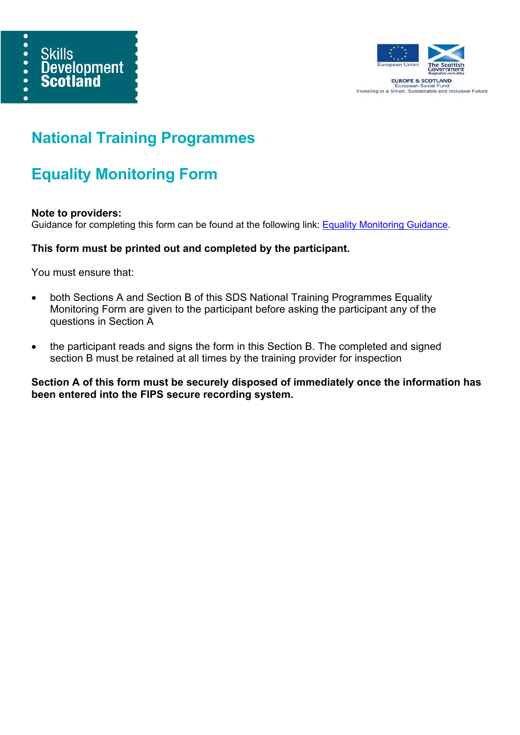



**EUROPE & SCOTLAND** European Social Fund<br>Investing in a Smart, Sustainable and Inclusive Future

# **National Training Programmes**

# **Equality Monitoring Form**

#### **Note to providers:**

Guidance for completing this form can be found at the following link: Equality Monitoring Guidance.

## **This form must be printed out and completed by the participant.**

You must ensure that:

- both Sections A and Section B of this SDS National Training Programmes Equality Monitoring Form are given to the participant before asking the participant any of the questions in Section A
- the participant reads and signs the form in this Section B. The completed and signed section B must be retained at all times by the training provider for inspection

**Section A of this form must be securely disposed of immediately once the information has been entered into the FIPS secure recording system.**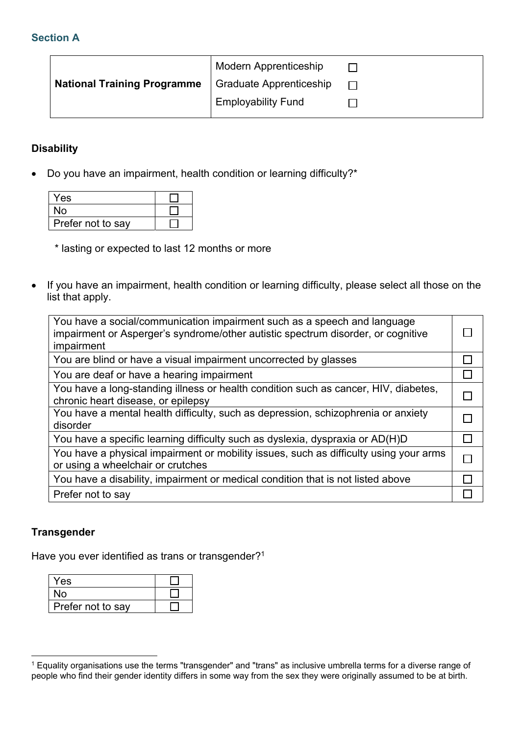## **Section A**

|                                    | <b>Modern Apprenticeship</b> |  |
|------------------------------------|------------------------------|--|
| <b>National Training Programme</b> | Graduate Apprenticeship      |  |
|                                    | <b>Employability Fund</b>    |  |
|                                    |                              |  |

#### **Disability**

• Do you have an impairment, health condition or learning difficulty?\*

| <b>Yes</b>        |  |
|-------------------|--|
| No                |  |
| Prefer not to say |  |

\* lasting or expected to last 12 months or more

• If you have an impairment, health condition or learning difficulty, please select all those on the list that apply.

| You have a social/communication impairment such as a speech and language<br>impairment or Asperger's syndrome/other autistic spectrum disorder, or cognitive<br>impairment |  |
|----------------------------------------------------------------------------------------------------------------------------------------------------------------------------|--|
| You are blind or have a visual impairment uncorrected by glasses                                                                                                           |  |
| You are deaf or have a hearing impairment                                                                                                                                  |  |
| You have a long-standing illness or health condition such as cancer, HIV, diabetes,<br>chronic heart disease, or epilepsy                                                  |  |
| You have a mental health difficulty, such as depression, schizophrenia or anxiety<br>disorder                                                                              |  |
| You have a specific learning difficulty such as dyslexia, dyspraxia or AD(H)D                                                                                              |  |
| You have a physical impairment or mobility issues, such as difficulty using your arms<br>or using a wheelchair or crutches                                                 |  |
| You have a disability, impairment or medical condition that is not listed above                                                                                            |  |
| Prefer not to say                                                                                                                                                          |  |

#### **Transgender**

Have you ever identified as trans or transgender?<sup>1</sup>

| Yes               |  |
|-------------------|--|
| <b>No</b>         |  |
| Prefer not to say |  |

 1 Equality organisations use the terms "transgender" and "trans" as inclusive umbrella terms for a diverse range of people who find their gender identity differs in some way from the sex they were originally assumed to be at birth.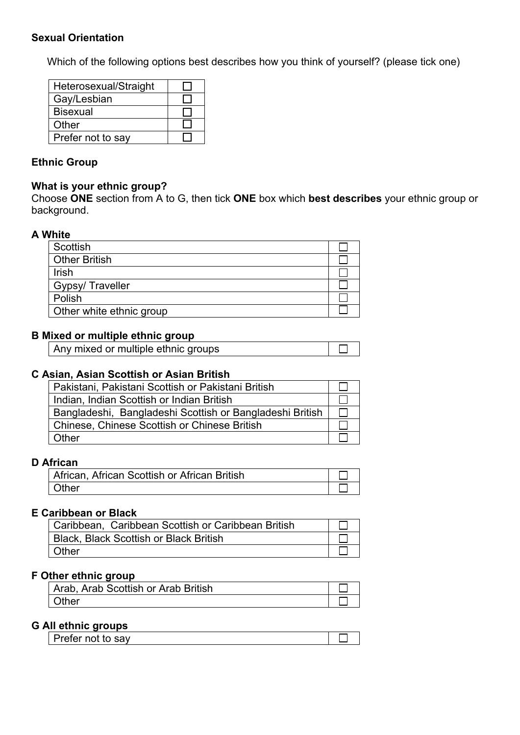#### **Sexual Orientation**

Which of the following options best describes how you think of yourself? (please tick one)

| Heterosexual/Straight |  |
|-----------------------|--|
| Gay/Lesbian           |  |
| <b>Bisexual</b>       |  |
| Other                 |  |
| Prefer not to say     |  |

## **Ethnic Group**

#### **What is your ethnic group?**

Choose **ONE** section from A to G, then tick **ONE** box which **best describes** your ethnic group or background.

#### **A White**

| Scottish                 |  |
|--------------------------|--|
| <b>Other British</b>     |  |
| Irish                    |  |
| Gypsy/Traveller          |  |
| Polish                   |  |
| Other white ethnic group |  |

## **B Mixed or multiple ethnic group**

| Any mixed or multiple ethnic groups |
|-------------------------------------|
|-------------------------------------|

#### **C Asian, Asian Scottish or Asian British**

| Pakistani, Pakistani Scottish or Pakistani British       |  |
|----------------------------------------------------------|--|
| Indian, Indian Scottish or Indian British                |  |
| Bangladeshi, Bangladeshi Scottish or Bangladeshi British |  |
| <b>Chinese, Chinese Scottish or Chinese British</b>      |  |
| Other                                                    |  |

#### **D African**

| African, African Scottish or African British |  |
|----------------------------------------------|--|
| Other                                        |  |

#### **E Caribbean or Black**

| Caribbean, Caribbean Scottish or Caribbean British |  |
|----------------------------------------------------|--|
| <b>Black, Black Scottish or Black British</b>      |  |
| Other                                              |  |

#### **F Other ethnic group**

| Arab, Arab Scottish or Arab British |  |
|-------------------------------------|--|
| Other                               |  |

## **G All ethnic groups**

| __     |      |  |
|--------|------|--|
| ------ | 0.01 |  |
|        |      |  |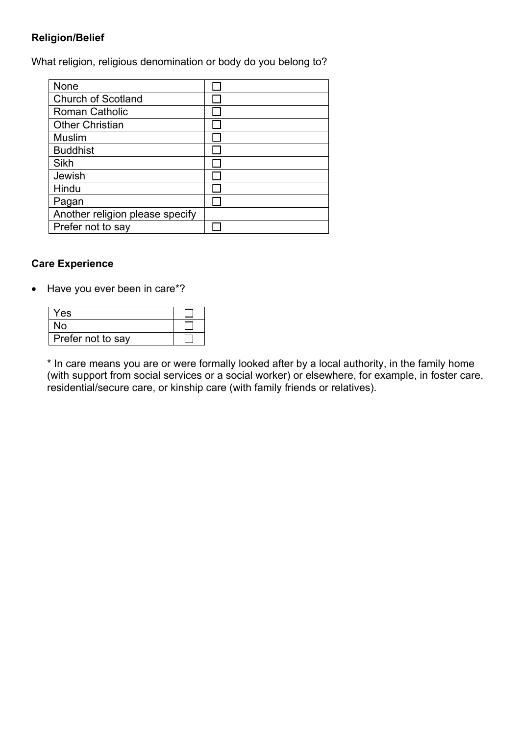## **Religion/Belief**

What religion, religious denomination or body do you belong to?

| <b>None</b>                     |  |
|---------------------------------|--|
| <b>Church of Scotland</b>       |  |
| <b>Roman Catholic</b>           |  |
| <b>Other Christian</b>          |  |
| <b>Muslim</b>                   |  |
| <b>Buddhist</b>                 |  |
| Sikh                            |  |
| Jewish                          |  |
| Hindu                           |  |
| Pagan                           |  |
| Another religion please specify |  |
| Prefer not to say               |  |

# **Care Experience**

• Have you ever been in care\*?

| Yes               |  |
|-------------------|--|
| N٥                |  |
| Prefer not to say |  |

\* In care means you are or were formally looked after by a local authority, in the family home (with support from social services or a social worker) or elsewhere, for example, in foster care, residential/secure care, or kinship care (with family friends or relatives).